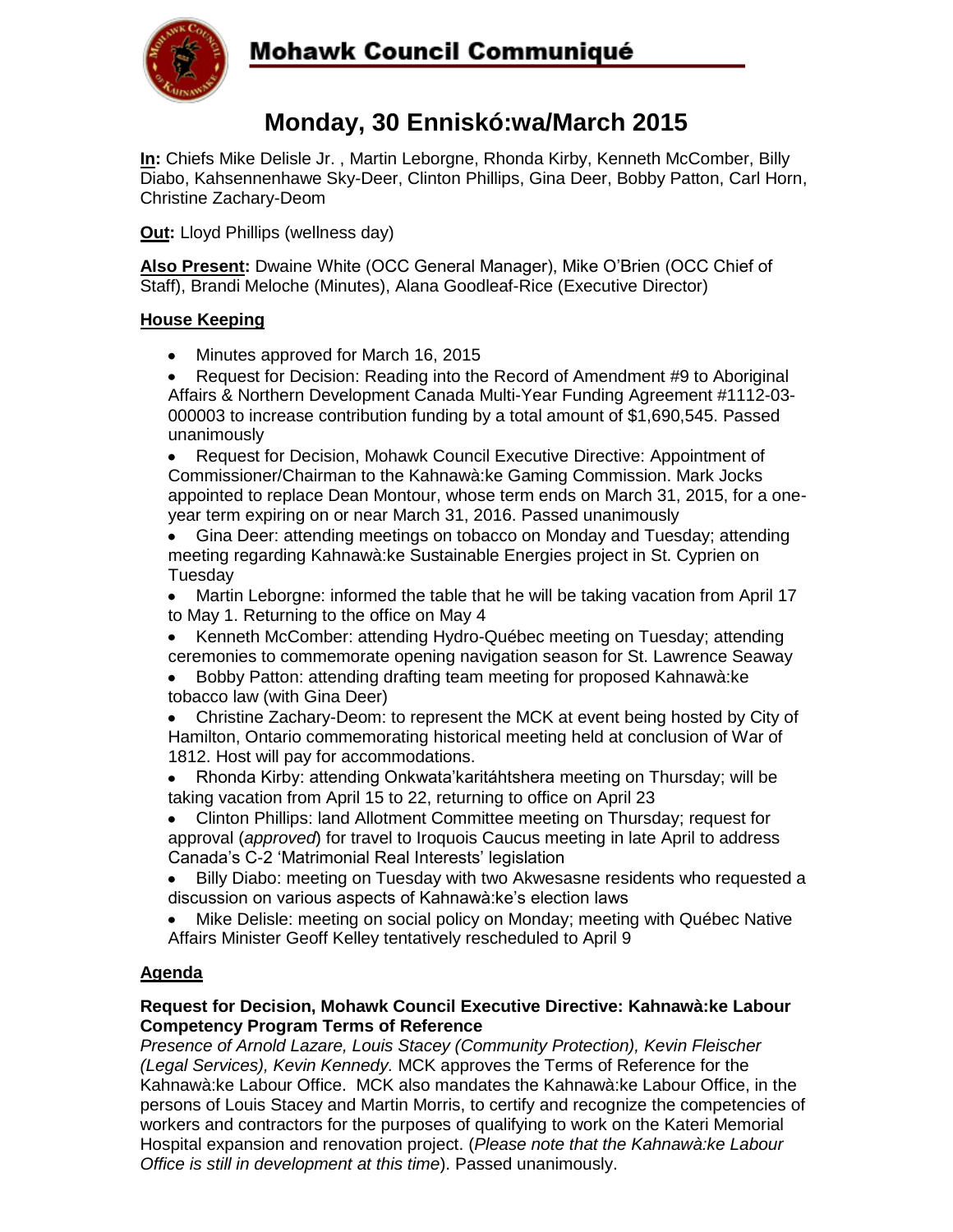

# Mohawk Council Communiqué

## **Monday, 30 Enniskó:wa/March 2015**

**In:** Chiefs Mike Delisle Jr. , Martin Leborgne, Rhonda Kirby, Kenneth McComber, Billy Diabo, Kahsennenhawe Sky-Deer, Clinton Phillips, Gina Deer, Bobby Patton, Carl Horn, Christine Zachary-Deom

**Out:** Lloyd Phillips (wellness day)

**Also Present:** Dwaine White (OCC General Manager), Mike O'Brien (OCC Chief of Staff), Brandi Meloche (Minutes), Alana Goodleaf-Rice (Executive Director)

### **House Keeping**

- Minutes approved for March 16, 2015
- Request for Decision: Reading into the Record of Amendment #9 to Aboriginal Affairs & Northern Development Canada Multi-Year Funding Agreement #1112-03- 000003 to increase contribution funding by a total amount of \$1,690,545. Passed unanimously

Request for Decision, Mohawk Council Executive Directive: Appointment of  $\bullet$ Commissioner/Chairman to the Kahnawà:ke Gaming Commission. Mark Jocks appointed to replace Dean Montour, whose term ends on March 31, 2015, for a oneyear term expiring on or near March 31, 2016. Passed unanimously

Gina Deer: attending meetings on tobacco on Monday and Tuesday; attending  $\bullet$ meeting regarding Kahnawà:ke Sustainable Energies project in St. Cyprien on Tuesday

- Martin Leborgne: informed the table that he will be taking vacation from April 17  $\bullet$ to May 1. Returning to the office on May 4
- Kenneth McComber: attending Hydro-Québec meeting on Tuesday; attending  $\bullet$ ceremonies to commemorate opening navigation season for St. Lawrence Seaway
- Bobby Patton: attending drafting team meeting for proposed Kahnawà:ke tobacco law (with Gina Deer)
- Christine Zachary-Deom: to represent the MCK at event being hosted by City of  $\bullet$ Hamilton, Ontario commemorating historical meeting held at conclusion of War of 1812. Host will pay for accommodations.
- Rhonda Kirby: attending Onkwata'karitáhtshera meeting on Thursday; will be taking vacation from April 15 to 22, returning to office on April 23
- Clinton Phillips: land Allotment Committee meeting on Thursday; request for approval (*approved*) for travel to Iroquois Caucus meeting in late April to address Canada's C-2 'Matrimonial Real Interests' legislation
- Billy Diabo: meeting on Tuesday with two Akwesasne residents who requested a discussion on various aspects of Kahnawà:ke's election laws
- Mike Delisle: meeting on social policy on Monday; meeting with Québec Native Affairs Minister Geoff Kelley tentatively rescheduled to April 9

## **Agenda**

#### **Request for Decision, Mohawk Council Executive Directive: Kahnawà:ke Labour Competency Program Terms of Reference**

*Presence of Arnold Lazare, Louis Stacey (Community Protection), Kevin Fleischer (Legal Services), Kevin Kennedy.* MCK approves the Terms of Reference for the Kahnawà:ke Labour Office. MCK also mandates the Kahnawà:ke Labour Office, in the persons of Louis Stacey and Martin Morris, to certify and recognize the competencies of workers and contractors for the purposes of qualifying to work on the Kateri Memorial Hospital expansion and renovation project. (*Please note that the Kahnawà:ke Labour Office is still in development at this time*). Passed unanimously.